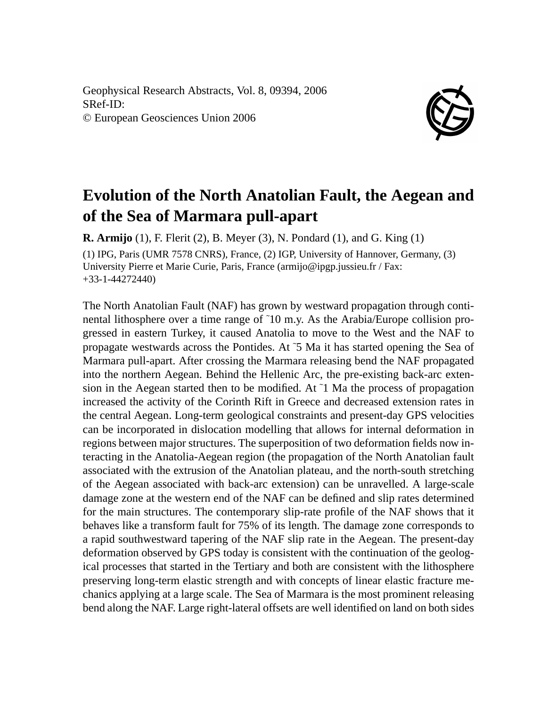Geophysical Research Abstracts, Vol. 8, 09394, 2006 SRef-ID: © European Geosciences Union 2006



## **Evolution of the North Anatolian Fault, the Aegean and of the Sea of Marmara pull-apart**

**R. Armijo** (1), F. Flerit (2), B. Meyer (3), N. Pondard (1), and G. King (1) (1) IPG, Paris (UMR 7578 CNRS), France, (2) IGP, University of Hannover, Germany, (3) University Pierre et Marie Curie, Paris, France (armijo@ipgp.jussieu.fr / Fax: +33-1-44272440)

The North Anatolian Fault (NAF) has grown by westward propagation through continental lithosphere over a time range of ˜10 m.y. As the Arabia/Europe collision progressed in eastern Turkey, it caused Anatolia to move to the West and the NAF to propagate westwards across the Pontides. At ˜5 Ma it has started opening the Sea of Marmara pull-apart. After crossing the Marmara releasing bend the NAF propagated into the northern Aegean. Behind the Hellenic Arc, the pre-existing back-arc extension in the Aegean started then to be modified. At  $\tilde{1}$  Ma the process of propagation increased the activity of the Corinth Rift in Greece and decreased extension rates in the central Aegean. Long-term geological constraints and present-day GPS velocities can be incorporated in dislocation modelling that allows for internal deformation in regions between major structures. The superposition of two deformation fields now interacting in the Anatolia-Aegean region (the propagation of the North Anatolian fault associated with the extrusion of the Anatolian plateau, and the north-south stretching of the Aegean associated with back-arc extension) can be unravelled. A large-scale damage zone at the western end of the NAF can be defined and slip rates determined for the main structures. The contemporary slip-rate profile of the NAF shows that it behaves like a transform fault for 75% of its length. The damage zone corresponds to a rapid southwestward tapering of the NAF slip rate in the Aegean. The present-day deformation observed by GPS today is consistent with the continuation of the geological processes that started in the Tertiary and both are consistent with the lithosphere preserving long-term elastic strength and with concepts of linear elastic fracture mechanics applying at a large scale. The Sea of Marmara is the most prominent releasing bend along the NAF. Large right-lateral offsets are well identified on land on both sides